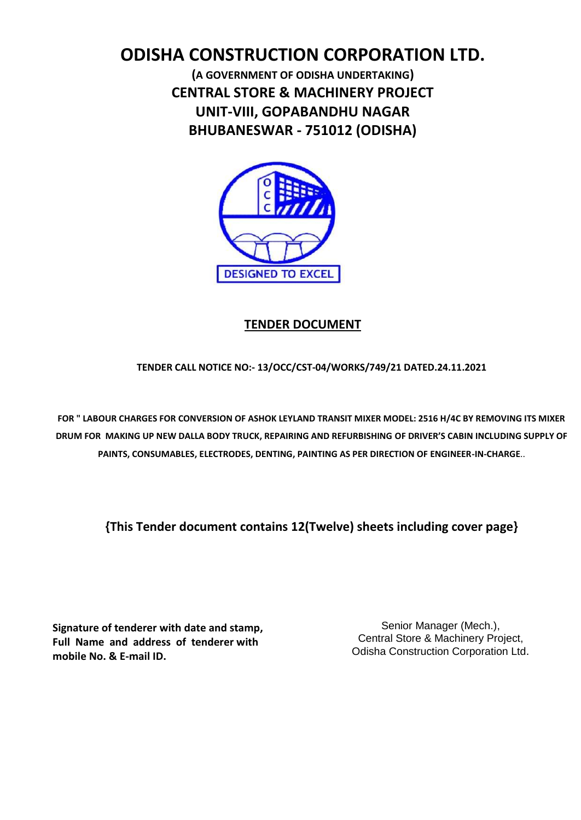# **ODISHA CONSTRUCTION CORPORATION LTD.**

**(A GOVERNMENT OF ODISHA UNDERTAKING) CENTRAL STORE & MACHINERY PROJECT UNIT-VIII, GOPABANDHU NAGAR BHUBANESWAR - 751012 (ODISHA)**



### **TENDER DOCUMENT**

**TENDER CALL NOTICE NO:- 13/OCC/CST-04/WORKS/749/21 DATED.24.11.2021**

**FOR " LABOUR CHARGES FOR CONVERSION OF ASHOK LEYLAND TRANSIT MIXER MODEL: 2516 H/4C BY REMOVING ITS MIXER DRUM FOR MAKING UP NEW DALLA BODY TRUCK, REPAIRING AND REFURBISHING OF DRIVER'S CABIN INCLUDING SUPPLY OF PAINTS, CONSUMABLES, ELECTRODES, DENTING, PAINTING AS PER DIRECTION OF ENGINEER-IN-CHARGE**..

**{This Tender document contains 12(Twelve) sheets including cover page}**

**Signature of tenderer with date and stamp, Full Name and address of tenderer with mobile No. & E-mail ID.**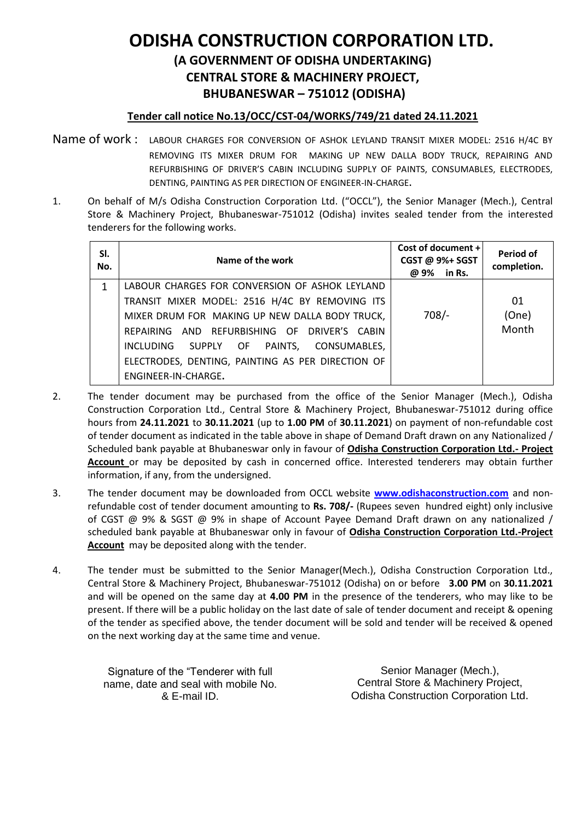# **ODISHA CONSTRUCTION CORPORATION LTD. (A GOVERNMENT OF ODISHA UNDERTAKING)**

**CENTRAL STORE & MACHINERY PROJECT,**

**BHUBANESWAR – 751012 (ODISHA)**

#### **Tender call notice No.13/OCC/CST-04/WORKS/749/21 dated 24.11.2021**

- Name of work : LABOUR CHARGES FOR CONVERSION OF ASHOK LEYLAND TRANSIT MIXER MODEL: 2516 H/4C BY REMOVING ITS MIXER DRUM FOR MAKING UP NEW DALLA BODY TRUCK, REPAIRING AND REFURBISHING OF DRIVER'S CABIN INCLUDING SUPPLY OF PAINTS, CONSUMABLES, ELECTRODES, DENTING, PAINTING AS PER DIRECTION OF ENGINEER-IN-CHARGE**.**
- 1. On behalf of M/s Odisha Construction Corporation Ltd. ("OCCL"), the Senior Manager (Mech.), Central Store & Machinery Project, Bhubaneswar-751012 (Odisha) invites sealed tender from the interested tenderers for the following works.

| SI.<br>No. | Name of the work                                  | Cost of document +<br>CGST @ 9%+ SGST<br>@ 9% in Rs. | Period of<br>completion. |
|------------|---------------------------------------------------|------------------------------------------------------|--------------------------|
| 1          | LABOUR CHARGES FOR CONVERSION OF ASHOK LEYLAND    |                                                      |                          |
|            | TRANSIT MIXER MODEL: 2516 H/4C BY REMOVING ITS    |                                                      | 01                       |
|            | MIXER DRUM FOR MAKING UP NEW DALLA BODY TRUCK,    | $708/-$                                              | (One)                    |
|            | REPAIRING AND REFURBISHING OF DRIVER'S CABIN      |                                                      | Month                    |
|            | INCLUDING SUPPLY OF PAINTS,<br>CONSUMABLES,       |                                                      |                          |
|            | ELECTRODES, DENTING, PAINTING AS PER DIRECTION OF |                                                      |                          |
|            | ENGINEER-IN-CHARGE.                               |                                                      |                          |

- 2. The tender document may be purchased from the office of the Senior Manager (Mech.), Odisha Construction Corporation Ltd., Central Store & Machinery Project, Bhubaneswar-751012 during office hours from **24.11.2021** to **30.11.2021** (up to **1.00 PM** of **30.11.2021**) on payment of non-refundable cost of tender document as indicated in the table above in shape of Demand Draft drawn on any Nationalized / Scheduled bank payable at Bhubaneswar only in favour of **Odisha Construction Corporation Ltd.- Project Account** or may be deposited by cash in concerned office. Interested tenderers may obtain further information, if any, from the undersigned.
- 3. The tender document may be downloaded from OCCL website **[www.odishaconstruction.com](http://www.odishaconstruction.com/)** and nonrefundable cost of tender document amounting to **Rs. 708/-** (Rupees seven hundred eight) only inclusive of CGST @ 9% & SGST @ 9% in shape of Account Payee Demand Draft drawn on any nationalized / scheduled bank payable at Bhubaneswar only in favour of **Odisha Construction Corporation Ltd.-Project Account** may be deposited along with the tender.
- 4. The tender must be submitted to the Senior Manager(Mech.), Odisha Construction Corporation Ltd., Central Store & Machinery Project, Bhubaneswar-751012 (Odisha) on or before **3.00 PM** on **30.11.2021** and will be opened on the same day at **4.00 PM** in the presence of the tenderers, who may like to be present. If there will be a public holiday on the last date of sale of tender document and receipt & opening of the tender as specified above, the tender document will be sold and tender will be received & opened on the next working day at the same time and venue.

Signature of the "Tenderer with full name, date and seal with mobile No. & E-mail ID.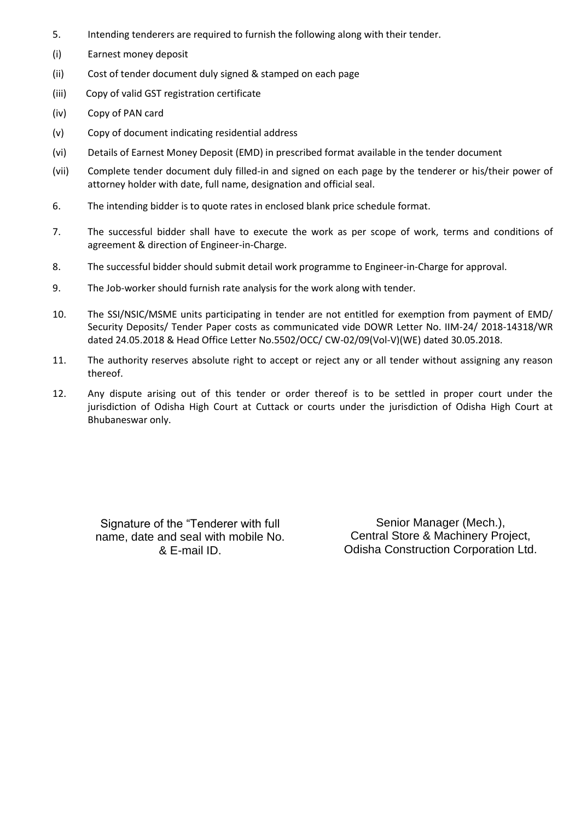- 5. Intending tenderers are required to furnish the following along with their tender.
- (i) Earnest money deposit
- (ii) Cost of tender document duly signed & stamped on each page
- (iii) Copy of valid GST registration certificate
- (iv) Copy of PAN card
- (v) Copy of document indicating residential address
- (vi) Details of Earnest Money Deposit (EMD) in prescribed format available in the tender document
- (vii) Complete tender document duly filled-in and signed on each page by the tenderer or his/their power of attorney holder with date, full name, designation and official seal.
- 6. The intending bidder is to quote rates in enclosed blank price schedule format.
- 7. The successful bidder shall have to execute the work as per scope of work, terms and conditions of agreement & direction of Engineer-in-Charge.
- 8. The successful bidder should submit detail work programme to Engineer-in-Charge for approval.
- 9. The Job-worker should furnish rate analysis for the work along with tender.
- 10. The SSI/NSIC/MSME units participating in tender are not entitled for exemption from payment of EMD/ Security Deposits/ Tender Paper costs as communicated vide DOWR Letter No. IIM-24/ 2018-14318/WR dated 24.05.2018 & Head Office Letter No.5502/OCC/ CW-02/09(Vol-V)(WE) dated 30.05.2018.
- 11. The authority reserves absolute right to accept or reject any or all tender without assigning any reason thereof.
- 12. Any dispute arising out of this tender or order thereof is to be settled in proper court under the jurisdiction of Odisha High Court at Cuttack or courts under the jurisdiction of Odisha High Court at Bhubaneswar only.

Signature of the "Tenderer with full name, date and seal with mobile No. & E-mail ID.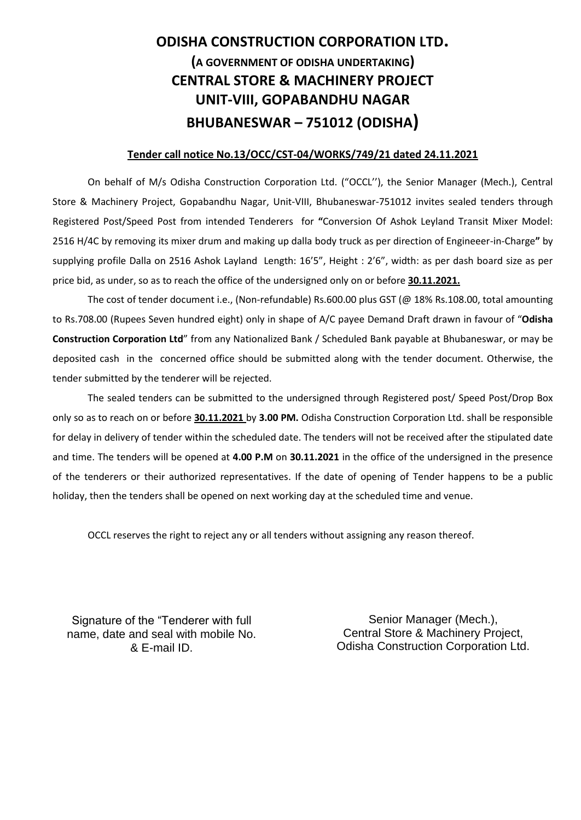## **ODISHA CONSTRUCTION CORPORATION LTD. (A GOVERNMENT OF ODISHA UNDERTAKING) CENTRAL STORE & MACHINERY PROJECT UNIT-VIII, GOPABANDHU NAGAR BHUBANESWAR – 751012 (ODISHA)**

#### **Tender call notice No.13/OCC/CST-04/WORKS/749/21 dated 24.11.2021**

On behalf of M/s Odisha Construction Corporation Ltd. ("OCCL''), the Senior Manager (Mech.), Central Store & Machinery Project, Gopabandhu Nagar, Unit-VIII, Bhubaneswar-751012 invites sealed tenders through Registered Post/Speed Post from intended Tenderers for **"**Conversion Of Ashok Leyland Transit Mixer Model: 2516 H/4C by removing its mixer drum and making up dalla body truck as per direction of Engineeer-in-Charge**"** by supplying profile Dalla on 2516 Ashok Layland Length: 16'5", Height : 2'6", width: as per dash board size as per price bid, as under, so as to reach the office of the undersigned only on or before **30.11.2021.**

The cost of tender document i.e., (Non-refundable) Rs.600.00 plus GST (@ 18% Rs.108.00, total amounting to Rs.708.00 (Rupees Seven hundred eight) only in shape of A/C payee Demand Draft drawn in favour of "**Odisha Construction Corporation Ltd**" from any Nationalized Bank / Scheduled Bank payable at Bhubaneswar, or may be deposited cash in the concerned office should be submitted along with the tender document. Otherwise, the tender submitted by the tenderer will be rejected.

The sealed tenders can be submitted to the undersigned through Registered post/ Speed Post/Drop Box only so as to reach on or before **30.11.2021** by **3.00 PM.** Odisha Construction Corporation Ltd. shall be responsible for delay in delivery of tender within the scheduled date. The tenders will not be received after the stipulated date and time. The tenders will be opened at **4.00 P.M** on **30.11.2021** in the office of the undersigned in the presence of the tenderers or their authorized representatives. If the date of opening of Tender happens to be a public holiday, then the tenders shall be opened on next working day at the scheduled time and venue.

OCCL reserves the right to reject any or all tenders without assigning any reason thereof.

Signature of the "Tenderer with full name, date and seal with mobile No. & E-mail ID.

 Odisha Construction Corporation Ltd. Senior Manager (Mech.), Central Store & Machinery Project,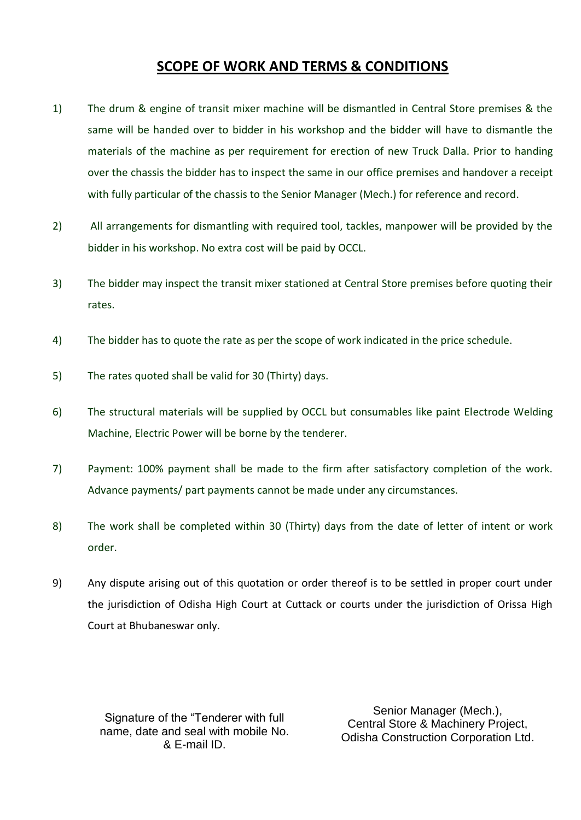## **SCOPE OF WORK AND TERMS & CONDITIONS**

- 1) The drum & engine of transit mixer machine will be dismantled in Central Store premises & the same will be handed over to bidder in his workshop and the bidder will have to dismantle the materials of the machine as per requirement for erection of new Truck Dalla. Prior to handing over the chassis the bidder has to inspect the same in our office premises and handover a receipt with fully particular of the chassis to the Senior Manager (Mech.) for reference and record.
- 2) All arrangements for dismantling with required tool, tackles, manpower will be provided by the bidder in his workshop. No extra cost will be paid by OCCL.
- 3) The bidder may inspect the transit mixer stationed at Central Store premises before quoting their rates.
- 4) The bidder has to quote the rate as per the scope of work indicated in the price schedule.
- 5) The rates quoted shall be valid for 30 (Thirty) days.
- 6) The structural materials will be supplied by OCCL but consumables like paint Electrode Welding Machine, Electric Power will be borne by the tenderer.
- 7) Payment: 100% payment shall be made to the firm after satisfactory completion of the work. Advance payments/ part payments cannot be made under any circumstances.
- 8) The work shall be completed within 30 (Thirty) days from the date of letter of intent or work order.
- 9) Any dispute arising out of this quotation or order thereof is to be settled in proper court under the jurisdiction of Odisha High Court at Cuttack or courts under the jurisdiction of Orissa High Court at Bhubaneswar only.

Signature of the "Tenderer with full name, date and seal with mobile No. & E-mail ID.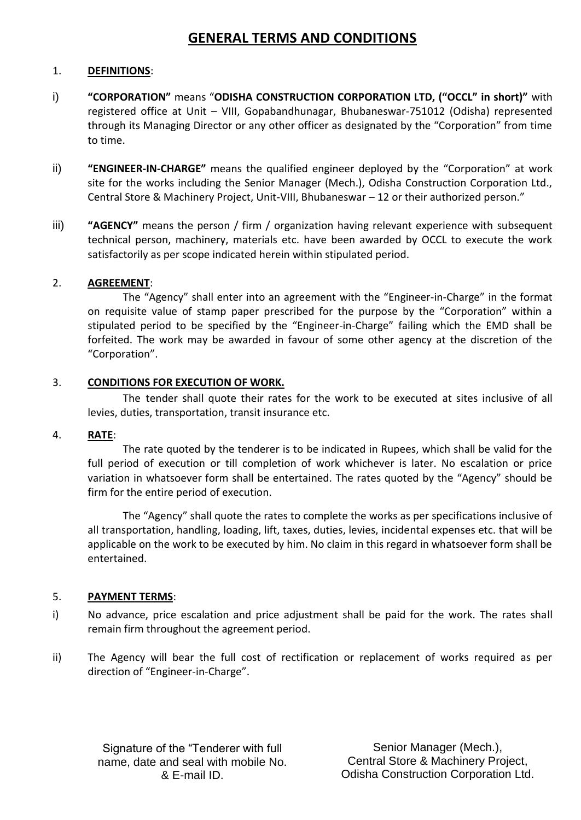## **GENERAL TERMS AND CONDITIONS**

#### 1. **DEFINITIONS**:

- i) **"CORPORATION"** means "**ODISHA CONSTRUCTION CORPORATION LTD, ("OCCL" in short)"** with registered office at Unit – VIII, Gopabandhunagar, Bhubaneswar-751012 (Odisha) represented through its Managing Director or any other officer as designated by the "Corporation" from time to time.
- ii) **"ENGINEER-IN-CHARGE"** means the qualified engineer deployed by the "Corporation" at work site for the works including the Senior Manager (Mech.), Odisha Construction Corporation Ltd., Central Store & Machinery Project, Unit-VIII, Bhubaneswar – 12 or their authorized person."
- iii) **"AGENCY"** means the person / firm / organization having relevant experience with subsequent technical person, machinery, materials etc. have been awarded by OCCL to execute the work satisfactorily as per scope indicated herein within stipulated period.

#### 2. **AGREEMENT**:

The "Agency" shall enter into an agreement with the "Engineer-in-Charge" in the format on requisite value of stamp paper prescribed for the purpose by the "Corporation" within a stipulated period to be specified by the "Engineer-in-Charge" failing which the EMD shall be forfeited. The work may be awarded in favour of some other agency at the discretion of the "Corporation".

#### 3. **CONDITIONS FOR EXECUTION OF WORK.**

The tender shall quote their rates for the work to be executed at sites inclusive of all levies, duties, transportation, transit insurance etc.

#### 4. **RATE**:

The rate quoted by the tenderer is to be indicated in Rupees, which shall be valid for the full period of execution or till completion of work whichever is later. No escalation or price variation in whatsoever form shall be entertained. The rates quoted by the "Agency" should be firm for the entire period of execution.

The "Agency" shall quote the rates to complete the works as per specifications inclusive of all transportation, handling, loading, lift, taxes, duties, levies, incidental expenses etc. that will be applicable on the work to be executed by him. No claim in this regard in whatsoever form shall be entertained.

#### 5. **PAYMENT TERMS**:

- i) No advance, price escalation and price adjustment shall be paid for the work. The rates shall remain firm throughout the agreement period.
- ii) The Agency will bear the full cost of rectification or replacement of works required as per direction of "Engineer-in-Charge".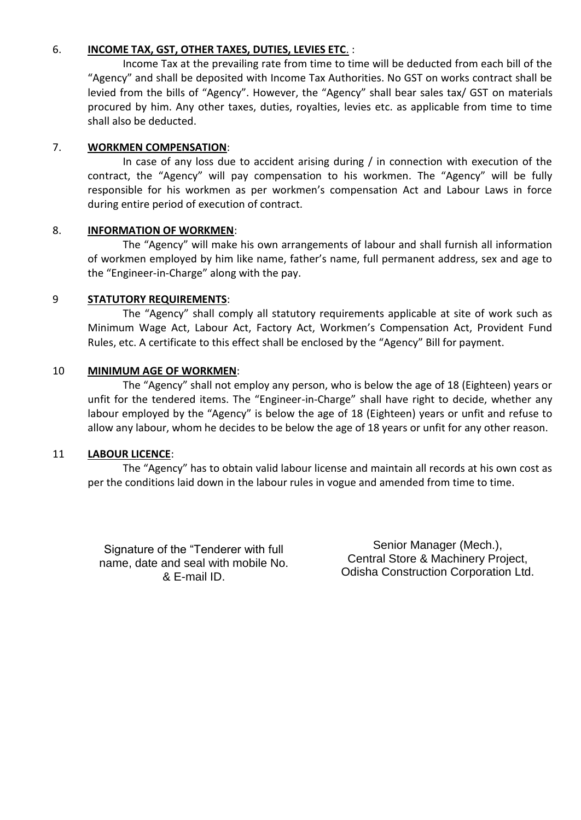#### 6. **INCOME TAX, GST, OTHER TAXES, DUTIES, LEVIES ETC**. :

Income Tax at the prevailing rate from time to time will be deducted from each bill of the "Agency" and shall be deposited with Income Tax Authorities. No GST on works contract shall be levied from the bills of "Agency". However, the "Agency" shall bear sales tax/ GST on materials procured by him. Any other taxes, duties, royalties, levies etc. as applicable from time to time shall also be deducted.

#### 7. **WORKMEN COMPENSATION**:

In case of any loss due to accident arising during / in connection with execution of the contract, the "Agency" will pay compensation to his workmen. The "Agency" will be fully responsible for his workmen as per workmen's compensation Act and Labour Laws in force during entire period of execution of contract.

#### 8. **INFORMATION OF WORKMEN**:

The "Agency" will make his own arrangements of labour and shall furnish all information of workmen employed by him like name, father's name, full permanent address, sex and age to the "Engineer-in-Charge" along with the pay.

#### 9 **STATUTORY REQUIREMENTS**:

The "Agency" shall comply all statutory requirements applicable at site of work such as Minimum Wage Act, Labour Act, Factory Act, Workmen's Compensation Act, Provident Fund Rules, etc. A certificate to this effect shall be enclosed by the "Agency" Bill for payment.

#### 10 **MINIMUM AGE OF WORKMEN**:

The "Agency" shall not employ any person, who is below the age of 18 (Eighteen) years or unfit for the tendered items. The "Engineer-in-Charge" shall have right to decide, whether any labour employed by the "Agency" is below the age of 18 (Eighteen) years or unfit and refuse to allow any labour, whom he decides to be below the age of 18 years or unfit for any other reason.

#### 11 **LABOUR LICENCE**:

The "Agency" has to obtain valid labour license and maintain all records at his own cost as per the conditions laid down in the labour rules in vogue and amended from time to time.

Signature of the "Tenderer with full name, date and seal with mobile No. & E-mail ID.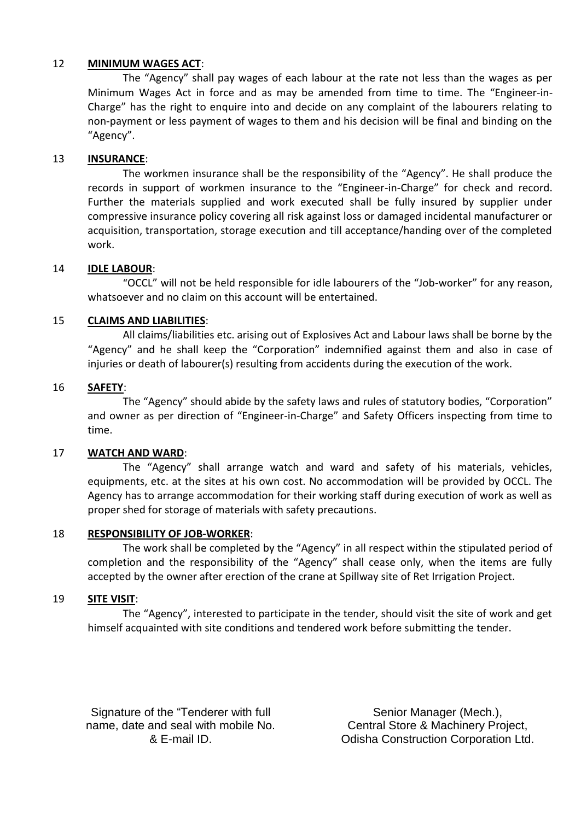#### 12 **MINIMUM WAGES ACT**:

The "Agency" shall pay wages of each labour at the rate not less than the wages as per Minimum Wages Act in force and as may be amended from time to time. The "Engineer-in-Charge" has the right to enquire into and decide on any complaint of the labourers relating to non-payment or less payment of wages to them and his decision will be final and binding on the "Agency".

#### 13 **INSURANCE**:

The workmen insurance shall be the responsibility of the "Agency". He shall produce the records in support of workmen insurance to the "Engineer-in-Charge" for check and record. Further the materials supplied and work executed shall be fully insured by supplier under compressive insurance policy covering all risk against loss or damaged incidental manufacturer or acquisition, transportation, storage execution and till acceptance/handing over of the completed work.

#### 14 **IDLE LABOUR**:

"OCCL" will not be held responsible for idle labourers of the "Job-worker" for any reason, whatsoever and no claim on this account will be entertained.

#### 15 **CLAIMS AND LIABILITIES**:

All claims/liabilities etc. arising out of Explosives Act and Labour laws shall be borne by the "Agency" and he shall keep the "Corporation" indemnified against them and also in case of injuries or death of labourer(s) resulting from accidents during the execution of the work.

#### 16 **SAFETY**:

The "Agency" should abide by the safety laws and rules of statutory bodies, "Corporation" and owner as per direction of "Engineer-in-Charge" and Safety Officers inspecting from time to time.

#### 17 **WATCH AND WARD**:

The "Agency" shall arrange watch and ward and safety of his materials, vehicles, equipments, etc. at the sites at his own cost. No accommodation will be provided by OCCL. The Agency has to arrange accommodation for their working staff during execution of work as well as proper shed for storage of materials with safety precautions.

#### 18 **RESPONSIBILITY OF JOB-WORKER**:

The work shall be completed by the "Agency" in all respect within the stipulated period of completion and the responsibility of the "Agency" shall cease only, when the items are fully accepted by the owner after erection of the crane at Spillway site of Ret Irrigation Project.

#### 19 **SITE VISIT**:

The "Agency", interested to participate in the tender, should visit the site of work and get himself acquainted with site conditions and tendered work before submitting the tender.

Signature of the "Tenderer with full name, date and seal with mobile No. & E-mail ID.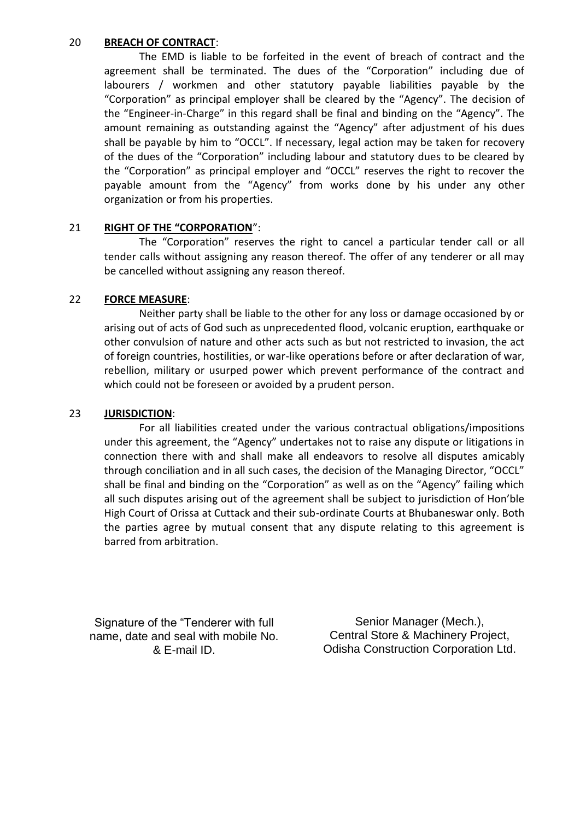#### 20 **BREACH OF CONTRACT**:

The EMD is liable to be forfeited in the event of breach of contract and the agreement shall be terminated. The dues of the "Corporation" including due of labourers / workmen and other statutory payable liabilities payable by the "Corporation" as principal employer shall be cleared by the "Agency". The decision of the "Engineer-in-Charge" in this regard shall be final and binding on the "Agency". The amount remaining as outstanding against the "Agency" after adjustment of his dues shall be payable by him to "OCCL". If necessary, legal action may be taken for recovery of the dues of the "Corporation" including labour and statutory dues to be cleared by the "Corporation" as principal employer and "OCCL" reserves the right to recover the payable amount from the "Agency" from works done by his under any other organization or from his properties.

#### 21 **RIGHT OF THE "CORPORATION**":

The "Corporation" reserves the right to cancel a particular tender call or all tender calls without assigning any reason thereof. The offer of any tenderer or all may be cancelled without assigning any reason thereof.

#### 22 **FORCE MEASURE**:

Neither party shall be liable to the other for any loss or damage occasioned by or arising out of acts of God such as unprecedented flood, volcanic eruption, earthquake or other convulsion of nature and other acts such as but not restricted to invasion, the act of foreign countries, hostilities, or war-like operations before or after declaration of war, rebellion, military or usurped power which prevent performance of the contract and which could not be foreseen or avoided by a prudent person.

#### 23 **JURISDICTION**:

For all liabilities created under the various contractual obligations/impositions under this agreement, the "Agency" undertakes not to raise any dispute or litigations in connection there with and shall make all endeavors to resolve all disputes amicably through conciliation and in all such cases, the decision of the Managing Director, "OCCL" shall be final and binding on the "Corporation" as well as on the "Agency" failing which all such disputes arising out of the agreement shall be subject to jurisdiction of Hon'ble High Court of Orissa at Cuttack and their sub-ordinate Courts at Bhubaneswar only. Both the parties agree by mutual consent that any dispute relating to this agreement is barred from arbitration.

Signature of the "Tenderer with full name, date and seal with mobile No. & E-mail ID.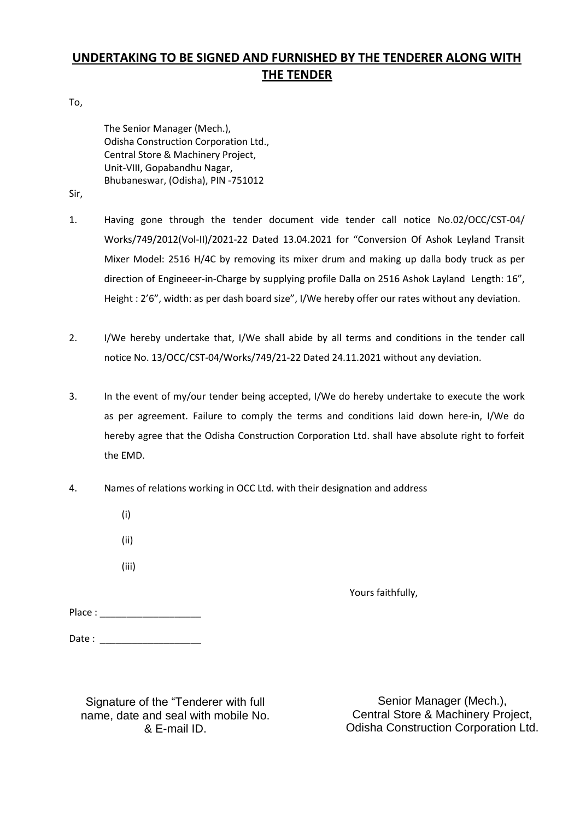## **UNDERTAKING TO BE SIGNED AND FURNISHED BY THE TENDERER ALONG WITH THE TENDER**

To,

The Senior Manager (Mech.), Odisha Construction Corporation Ltd., Central Store & Machinery Project, Unit-VIII, Gopabandhu Nagar, Bhubaneswar, (Odisha), PIN -751012

Sir,

- 1. Having gone through the tender document vide tender call notice No.02/OCC/CST-04/ Works/749/2012(Vol-II)/2021-22 Dated 13.04.2021 for "Conversion Of Ashok Leyland Transit Mixer Model: 2516 H/4C by removing its mixer drum and making up dalla body truck as per direction of Engineeer-in-Charge by supplying profile Dalla on 2516 Ashok Layland Length: 16", Height : 2'6", width: as per dash board size", I/We hereby offer our rates without any deviation.
- 2. I/We hereby undertake that, I/We shall abide by all terms and conditions in the tender call notice No. 13/OCC/CST-04/Works/749/21-22 Dated 24.11.2021 without any deviation.
- 3. In the event of my/our tender being accepted, I/We do hereby undertake to execute the work as per agreement. Failure to comply the terms and conditions laid down here-in, I/We do hereby agree that the Odisha Construction Corporation Ltd. shall have absolute right to forfeit the EMD.
- 4. Names of relations working in OCC Ltd. with their designation and address
	- (i)
	- (ii)
	- (iii)

Yours faithfully,

| Place: |  |  |
|--------|--|--|
|--------|--|--|

Date : \_\_\_\_\_\_\_\_\_\_\_\_\_\_\_\_\_\_\_

Signature of the "Tenderer with full name, date and seal with mobile No. & E-mail ID.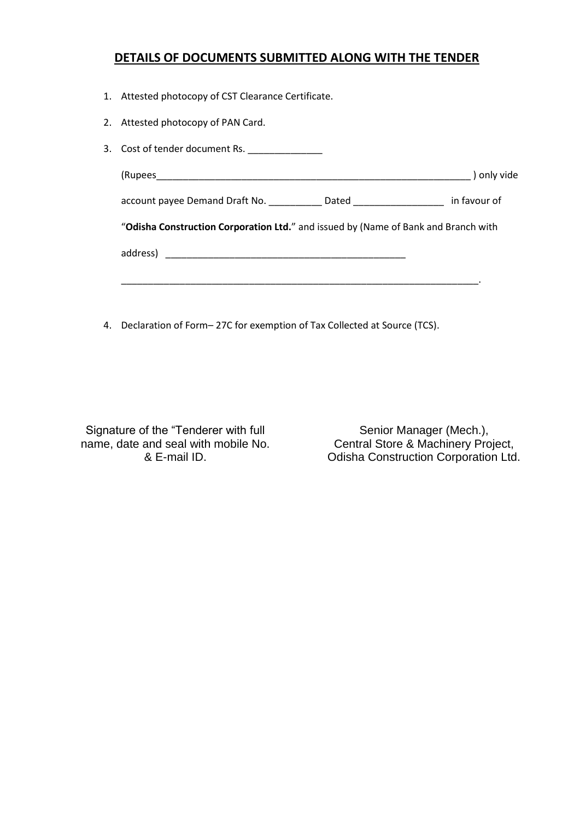#### **DETAILS OF DOCUMENTS SUBMITTED ALONG WITH THE TENDER**

- 1. Attested photocopy of CST Clearance Certificate.
- 2. Attested photocopy of PAN Card.

| 3. Cost of tender document Rs. ______________                                                  |             |
|------------------------------------------------------------------------------------------------|-------------|
|                                                                                                | ) only vide |
| account payee Demand Draft No. _____________Dated _______________________________ in favour of |             |
| "Odisha Construction Corporation Ltd." and issued by (Name of Bank and Branch with             |             |
|                                                                                                |             |
|                                                                                                |             |
|                                                                                                |             |

4. Declaration of Form– 27C for exemption of Tax Collected at Source (TCS).

Signature of the "Tenderer with full name, date and seal with mobile No. & E-mail ID.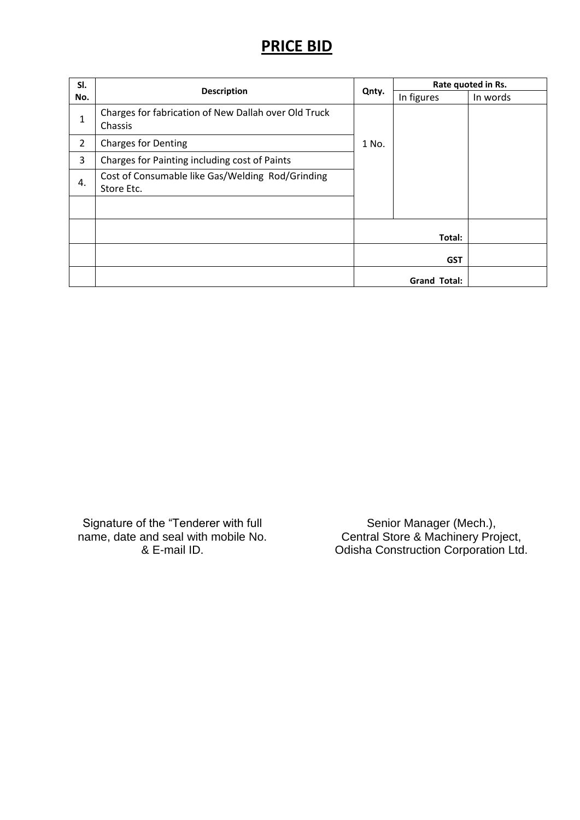## **PRICE BID**

| SI.<br>No.     | <b>Description</b>                                              |       | Rate quoted in Rs.  |          |
|----------------|-----------------------------------------------------------------|-------|---------------------|----------|
|                |                                                                 | Qnty. | In figures          | In words |
| 1              | Charges for fabrication of New Dallah over Old Truck<br>Chassis |       |                     |          |
| $\overline{2}$ | <b>Charges for Denting</b>                                      | 1 No. |                     |          |
| 3              | Charges for Painting including cost of Paints                   |       |                     |          |
| 4.             | Cost of Consumable like Gas/Welding Rod/Grinding<br>Store Etc.  |       |                     |          |
|                |                                                                 |       |                     |          |
|                |                                                                 |       | Total:              |          |
|                |                                                                 |       | <b>GST</b>          |          |
|                |                                                                 |       | <b>Grand Total:</b> |          |

Signature of the "Tenderer with full name, date and seal with mobile No. & E-mail ID.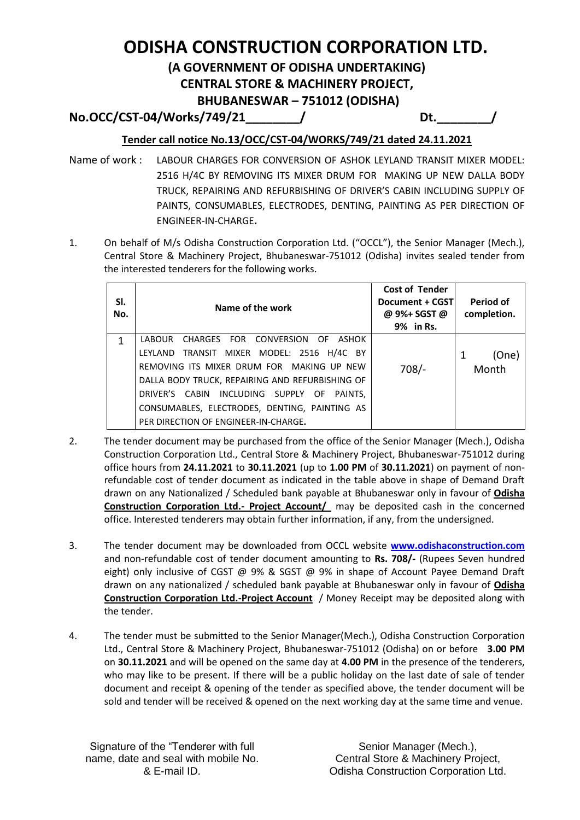# **ODISHA CONSTRUCTION CORPORATION LTD.**

## **(A GOVERNMENT OF ODISHA UNDERTAKING)**

**CENTRAL STORE & MACHINERY PROJECT,**

**BHUBANESWAR – 751012 (ODISHA)**

**No.OCC/CST-04/Works/749/21\_\_\_\_\_\_\_\_/ Dt.\_\_\_\_\_\_\_\_/**

### **Tender call notice No.13/OCC/CST-04/WORKS/749/21 dated 24.11.2021**

- Name of work : LABOUR CHARGES FOR CONVERSION OF ASHOK LEYLAND TRANSIT MIXER MODEL: 2516 H/4C BY REMOVING ITS MIXER DRUM FOR MAKING UP NEW DALLA BODY TRUCK, REPAIRING AND REFURBISHING OF DRIVER'S CABIN INCLUDING SUPPLY OF PAINTS, CONSUMABLES, ELECTRODES, DENTING, PAINTING AS PER DIRECTION OF ENGINEER-IN-CHARGE**.**
- 1. On behalf of M/s Odisha Construction Corporation Ltd. ("OCCL"), the Senior Manager (Mech.), Central Store & Machinery Project, Bhubaneswar-751012 (Odisha) invites sealed tender from the interested tenderers for the following works.

| SI.<br>No. | Name of the work                                | <b>Cost of Tender</b><br>Document + CGST<br>@ 9%+ SGST @<br>9% in Rs. | Period of<br>completion. |
|------------|-------------------------------------------------|-----------------------------------------------------------------------|--------------------------|
| 1          | LABOUR CHARGES FOR CONVERSION OF ASHOK          |                                                                       |                          |
|            | LEYLAND TRANSIT MIXER MODEL: 2516 H/4C BY       |                                                                       | (One)<br>1               |
|            | REMOVING ITS MIXER DRUM FOR MAKING UP NEW       | $708/-$                                                               | Month                    |
|            | DALLA BODY TRUCK, REPAIRING AND REFURBISHING OF |                                                                       |                          |
|            | DRIVER'S CABIN INCLUDING SUPPLY OF PAINTS,      |                                                                       |                          |
|            | CONSUMABLES, ELECTRODES, DENTING, PAINTING AS   |                                                                       |                          |
|            | PER DIRECTION OF ENGINEER-IN-CHARGE.            |                                                                       |                          |

- 2. The tender document may be purchased from the office of the Senior Manager (Mech.), Odisha Construction Corporation Ltd., Central Store & Machinery Project, Bhubaneswar-751012 during office hours from **24.11.2021** to **30.11.2021** (up to **1.00 PM** of **30.11.2021**) on payment of nonrefundable cost of tender document as indicated in the table above in shape of Demand Draft drawn on any Nationalized / Scheduled bank payable at Bhubaneswar only in favour of **Odisha Construction Corporation Ltd.- Project Account/** may be deposited cash in the concerned office. Interested tenderers may obtain further information, if any, from the undersigned.
- 3. The tender document may be downloaded from OCCL website **[www.odishaconstruction.com](http://www.odishaconstruction.com/)** and non-refundable cost of tender document amounting to **Rs. 708/-** (Rupees Seven hundred eight) only inclusive of CGST @ 9% & SGST @ 9% in shape of Account Payee Demand Draft drawn on any nationalized / scheduled bank payable at Bhubaneswar only in favour of **Odisha Construction Corporation Ltd.-Project Account** / Money Receipt may be deposited along with the tender.
- 4. The tender must be submitted to the Senior Manager(Mech.), Odisha Construction Corporation Ltd., Central Store & Machinery Project, Bhubaneswar-751012 (Odisha) on or before **3.00 PM** on **30.11.2021** and will be opened on the same day at **4.00 PM** in the presence of the tenderers, who may like to be present. If there will be a public holiday on the last date of sale of tender document and receipt & opening of the tender as specified above, the tender document will be sold and tender will be received & opened on the next working day at the same time and venue.